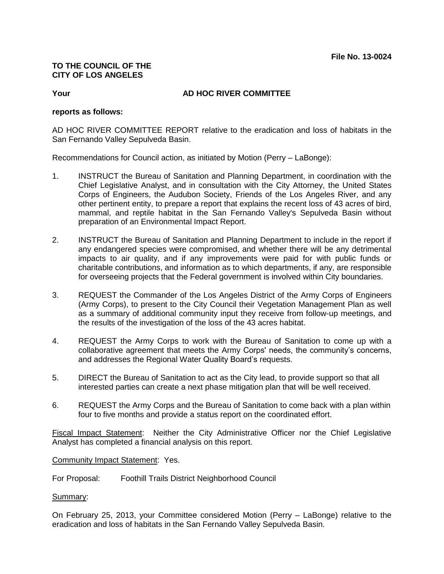## **TO THE COUNCIL OF THE CITY OF LOS ANGELES**

## **Your AD HOC RIVER COMMITTEE**

## **reports as follows:**

AD HOC RIVER COMMITTEE REPORT relative to the eradication and loss of habitats in the San Fernando Valley Sepulveda Basin.

Recommendations for Council action, as initiated by Motion (Perry – LaBonge):

- 1. INSTRUCT the Bureau of Sanitation and Planning Department, in coordination with the Chief Legislative Analyst, and in consultation with the City Attorney, the United States Corps of Engineers, the Audubon Society, Friends of the Los Angeles River, and any other pertinent entity, to prepare a report that explains the recent loss of 43 acres of bird, mammal, and reptile habitat in the San Fernando Valley's Sepulveda Basin without preparation of an Environmental Impact Report.
- 2. INSTRUCT the Bureau of Sanitation and Planning Department to include in the report if any endangered species were compromised, and whether there will be any detrimental impacts to air quality, and if any improvements were paid for with public funds or charitable contributions, and information as to which departments, if any, are responsible for overseeing projects that the Federal government is involved within City boundaries.
- 3. REQUEST the Commander of the Los Angeles District of the Army Corps of Engineers (Army Corps), to present to the City Council their Vegetation Management Plan as well as a summary of additional community input they receive from follow-up meetings, and the results of the investigation of the loss of the 43 acres habitat.
- 4. REQUEST the Army Corps to work with the Bureau of Sanitation to come up with a collaborative agreement that meets the Army Corps' needs, the community's concerns, and addresses the Regional Water Quality Board's requests.
- 5. DIRECT the Bureau of Sanitation to act as the City lead, to provide support so that all interested parties can create a next phase mitigation plan that will be well received.
- 6. REQUEST the Army Corps and the Bureau of Sanitation to come back with a plan within four to five months and provide a status report on the coordinated effort.

Fiscal Impact Statement: Neither the City Administrative Officer nor the Chief Legislative Analyst has completed a financial analysis on this report.

Community Impact Statement: Yes.

For Proposal: Foothill Trails District Neighborhood Council

Summary:

On February 25, 2013, your Committee considered Motion (Perry – LaBonge) relative to the eradication and loss of habitats in the San Fernando Valley Sepulveda Basin.